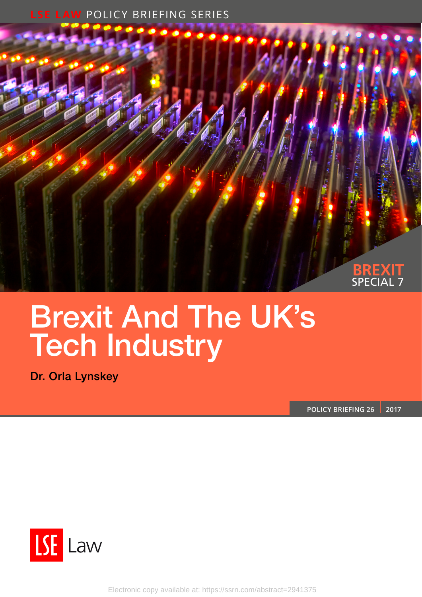### **LSE LAW** POLICY BRIEFING SERIES



# Brexit And The UK's Tech Industry

Dr. Orla Lynskey

**POLICY BRIEFING 26 2017**



Electronic copy available at: https://ssrn.com/abstract=2941375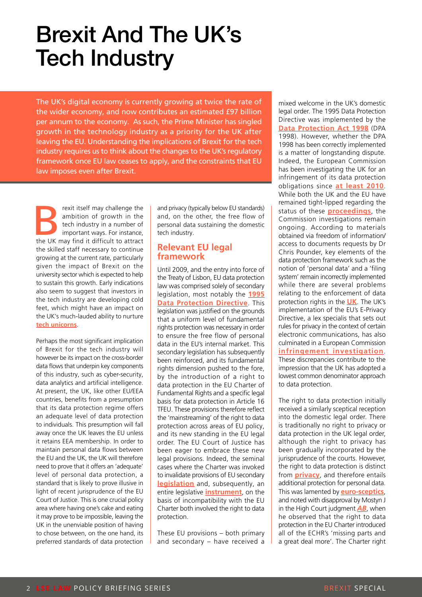## Brexit And The UK's Tech Industry

The UK's digital economy is currently growing at twice the rate of the wider economy, and now contributes an estimated £97 billion per annum to the economy. As such, the Prime Minister has singled growth in the technology industry as a priority for the UK after leaving the EU. Understanding the implications of Brexit for the tech industry requires us to think about the changes to the UK's regulatory framework once EU law ceases to apply, and the constraints that EU law imposes even after Brexit.

Frexit itself may challenge the ambition of growth in the tech industry in a number of important ways. For instance, the UK may find it difficult to attract ambition of growth in the tech industry in a number of important ways. For instance, the skilled staff necessary to continue growing at the current rate, particularly given the impact of Brexit on the university sector which is expected to help to sustain this growth. Early indications also seem to suggest that investors in the tech industry are developing cold feet, which might have an impact on the UK's much-lauded ability to nurture **[tech unicorns](https://www.ft.com/content/e538e27a-5001-11e6-8172-e39ecd3b86fc)**.

Perhaps the most significant implication of Brexit for the tech industry will however be its impact on the cross-border data flows that underpin key components of this industry, such as cyber-security, data analytics and artificial intelligence. At present, the UK, like other EU/EEA countries, benefits from a presumption that its data protection regime offers an adequate level of data protection to individuals. This presumption will fall away once the UK leaves the EU unless it retains EEA membership. In order to maintain personal data flows between the EU and the UK, the UK will therefore need to prove that it offers an 'adequate' level of personal data protection, a standard that is likely to prove illusive in light of recent jurisprudence of the EU Court of Justice. This is one crucial policy area where having one's cake and eating it may prove to be impossible, leaving the UK in the unenviable position of having to chose between, on the one hand, its preferred standards of data protection

and privacy (typically below EU standards) and, on the other, the free flow of personal data sustaining the domestic tech industry.

#### **Relevant EU legal framework**

Until 2009, and the entry into force of the Treaty of Lisbon, EU data protection law was comprised solely of secondary legislation, most notably the **[1995](http://eur-lex.europa.eu/LexUriServ/LexUriServ.do?uri=CELEX:31995L0046:en:HTML) [Data Protection Directive](http://eur-lex.europa.eu/LexUriServ/LexUriServ.do?uri=CELEX:31995L0046:en:HTML)**. This legislation was justified on the grounds that a uniform level of fundamental rights protection was necessary in order to ensure the free flow of personal data in the EU's internal market. This secondary legislation has subsequently been reinforced, and its fundamental rights dimension pushed to the fore, by the introduction of a right to data protection in the EU Charter of Fundamental Rights and a specific legal basis for data protection in Article 16 TFEU. These provisions therefore reflect the 'mainstreaming' of the right to data protection across areas of EU policy, and its new standing in the EU legal order. The EU Court of Justice has been eager to embrace these new legal provisions. Indeed, the seminal cases where the Charter was invoked to invalidate provisions of EU secondary **[legislation](http://curia.europa.eu/juris/document/document.jsf?text=&docid=79001&pageIndex=0&doclang=EN&mode=lst&dir=&occ=first&part=1&cid=1258115)** and, subsequently, an entire legislative **[instrument](http://curia.europa.eu/juris/document/document.jsf?text=&docid=150642&pageIndex=0&doclang=en&mode=lst&dir=&occ=first&part=1&cid=1258201)**, on the basis of incompatibility with the EU Charter both involved the right to data protection.

These EU provisions – both primary and secondary – have received a

mixed welcome in the UK's domestic legal order. The 1995 Data Protection Directive was implemented by the **[Data Protection Act 1998](http://www.legislation.gov.uk/ukpga/1998/29/contents)** (DPA 1998). However, whether the DPA 1998 has been correctly implemented is a matter of longstanding dispute. Indeed, the European Commission has been investigating the UK for an infringement of its data protection obligations since **[at least 2010](http://amberhawk.typepad.com/files/dp_infraction_reasons.pdf)**. While both the UK and the EU have remained tight-lipped regarding the status of these **[proceedings](http://amberhawk.typepad.com/)**, the Commission investigations remain ongoing. According to materials obtained via freedom of information/ access to documents requests by Dr Chris Pounder, key elements of the data protection framework such as the notion of 'personal data' and a 'filing system' remain incorrectly implemented while there are several problems relating to the enforcement of data protection rights in the **[UK](http://amberhawk.typepad.com/)**. The UK's implementation of the EU's E-Privacy Directive, a lex specialis that sets out rules for privacy in the context of certain electronic communications, has also culminated in a European Commission **[infringement investigation](https://edri.org/edri-gramnumber7-8phorm-investigated-european-commission/)**. These discrepancies contribute to the impression that the UK has adopted a lowest common denominator approach to data protection.

The right to data protection initially received a similarly sceptical reception into the domestic legal order. There is traditionally no right to [privacy](http://eprints.lse.ac.uk/57713/) or data protection in the UK legal order, although the right to privacy has been gradually incorporated by the jurisprudence of the courts. However, the right to data protection is distinct from **[privacy](http://eprints.lse.ac.uk/57713/)**, and therefore entails additional protection for personal data. This was lamented by **[euro-sceptics](https://ukhumanrightsblog.com/2016/02/09/cavalier-with-our-constitution-a-charter-too-far/)**, and noted with disapproval by Mostyn J in the High Court judgment *[AB](http://www.bailii.org/ew/cases/EWHC/Admin/2013/3453.html)*, when he observed that the right to data protection in the EU Charter introduced all of the ECHR's 'missing parts and a great deal more'. The Charter right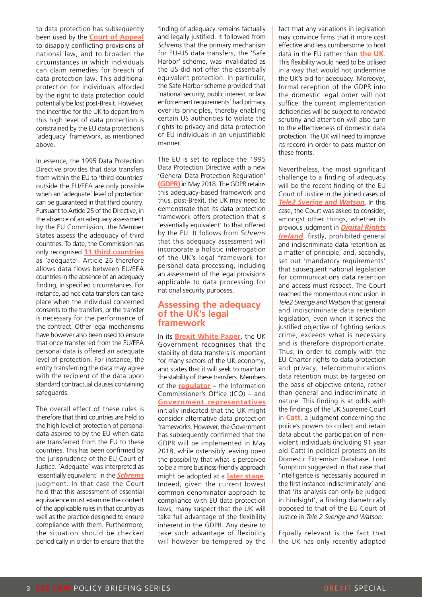to data protection has subsequently been used by the **[Court of Appeal](http://www.5rb.com/wp-content/uploads/2015/03/Vidal-Hall-v-Google-CA.pdf)** to disapply conflicting provisions of national law, and to broaden the circumstances in which individuals can claim remedies for breach of data protection law. This additional protection for individuals afforded by the right to data protection could potentially be lost post-Brexit. However, the incentive for the UK to depart from this high level of data protection is constrained by the EU data protection's 'adequacy' framework, as mentioned above.

In essence, the 1995 Data Protection Directive provides that data transfers from within the EU to 'third-countries' outside the EU/EEA are only possible when an 'adequate' level of protection can be guaranteed in that third country. Pursuant to Article 25 of the Directive, in the absence of an adequacy assessment by the EU Commission, the Member States assess the adequacy of third countries. To date, the Commission has only recognised **[11 third countries](http://ec.europa.eu/justice/data-protection/international-transfers/adequacy/index_en.htm)** as 'adequate'. Article 26 therefore allows data flows between EU/EEA countries in the absence of an adequacy finding, in specified circumstances. For instance, ad hoc data transfers can take place when the individual concerned consents to the transfers, or the transfer is necessary for the performance of the contract. Other legal mechanisms have however also been used to ensure that once transferred from the EU/EEA personal data is offered an adequate level of protection. For instance, the entity transferring the data may agree with the recipient of the data upon standard contractual clauses containing safeguards.

The overall effect of these rules is therefore that third countries are held to the high level of protection of personal data aspired to by the EU when data are transferred from the EU to these countries. This has been confirmed by the jurisprudence of the EU Court of Justice. 'Adequate' was interpreted as 'essentially equivalent' in the *[Schrems](http://curia.europa.eu/juris/document/document.jsf?text=&docid=169195&pageIndex=0&doclang=EN&mode=lst&dir=&occ=first&part=1&cid=1242228)* judgment. In that case the Court held that this assessment of essential equivalence must examine the content of the applicable rules in that country as well as the practice designed to ensure compliance with them. Furthermore, the situation should be checked periodically in order to ensure that the

finding of adequacy remains factually and legally justified. It followed from *Schrems* that the primary mechanism for EU-US data transfers, the 'Safe Harbor' scheme, was invalidated as the US did not offer this essentially equivalent protection. In particular, the Safe Harbor scheme provided that 'national security, public interest, or law enforcement requirements' had primacy over its principles, thereby enabling certain US authorities to violate the rights to privacy and data protection of EU individuals in an unjustifiable manner.

The EU is set to replace the 1995 Data Protection Directive with a new 'General Data Protection Regulation' **[\(GDPR\)](http://eur-lex.europa.eu/legal-content/EN/TXT/PDF/?uri=CELEX:32016R0679&qid=1490209507633&from=en)** in May 2018. The GDPR retains this adequacy-based framework and thus, post-Brexit, the UK may need to demonstrate that its data protection framework offers protection that is 'essentially equivalent' to that offered by the EU. It follows from *Schrems* that this adequacy assessment will incorporate a holistic interrogation of the UK's legal framework for personal data processing, including an assessment of the legal provisions applicable to data processing for national security purposes.

#### **Assessing the adequacy of the UK's legal framework**

In its **[Brexit White Paper](https://www.gov.uk/government/uploads/system/uploads/attachment_data/file/589191/The_United_Kingdoms_exit_from_and_partnership_with_the_EU_Web.pdf)**, the UK Government recognises that the stability of data transfers is important for many sectors of the UK economy, and states that it will seek to maintain the stability of these transfers. Members of the **[regulator](http://www.techweekeurope.co.uk/cloud/cloud-management/gdpr-not-only-option-brexit-193321#ftfX72PoVXLj5G8m.99.)** – the Information Commissioner's Office (ICO) – and **[Government representatives](https://www.gov.uk/government/speeches/the-eu-data-protection-package-the-uk-governments-perspective)** initially indicated that the UK might consider alternative data protection frameworks. However, the Government has subsequently confirmed that the GDPR will be implemented in May 2018, while ostensibly leaving open the possibility that what is perceived to be a more business-friendly approach might be adopted at a **[later stage](http://data.parliament.uk/writtenevidence/committeeevidence.svc/evidencedocument/culture-media-and-sport-committee/responsibilities-of-the-secretary-of-state-for-culture-media-and-sport/oral/42119.html)**. Indeed, given the current lowest common denominator approach to compliance with EU data protection laws, many suspect that the UK will take full advantage of the flexibility inherent in the GDPR. Any desire to take such advantage of flexibility will however be tempered by the

fact that any variations in legislation may convince firms that it more cost effective and less cumbersome to host data in the EU rather than **[the UK](http://www.infosecurity-magazine.com/news/global-firms-pull-data-out-post/)**. This flexibility would need to be utilised in a way that would not undermine the UK's bid for adequacy. Moreover, formal reception of the GDPR into the domestic legal order will not suffice: the current implementation deficiencies will be subject to renewed scrutiny and attention will also turn to the effectiveness of domestic data protection. The UK will need to improve its record in order to pass muster on these fronts.

Nevertheless, the most significant challenge to a finding of adequacy will be the recent finding of the EU Court of Justice in the joined cases of *[Tele2 Sverige and Watson](http://curia.europa.eu/juris/document/document.jsf?text=&docid=186492&pageIndex=0&doclang=en&mode=lst&dir=&occ=first&part=1&cid=1258288)*. In this case, the Court was asked to consider, amongst other things, whether its previous judgment in *[Digital Rights](http://curia.europa.eu/juris/document/document.jsf?text=&docid=150642&pageIndex=0&doclang=en&mode=lst&dir=&occ=first&part=1&cid=1258201) [Ireland](http://curia.europa.eu/juris/document/document.jsf?text=&docid=150642&pageIndex=0&doclang=en&mode=lst&dir=&occ=first&part=1&cid=1258201)*, firstly, prohibited general and indiscriminate data retention as a matter of principle, and, secondly, set out 'mandatory requirements' that subsequent national legislation for communications data retention and access must respect. The Court reached the momentous conclusion in *Tele2 Sverige and Watson* that general and indiscriminate data retention legislation, even when it serves the justified objective of fighting serious crime, exceeds what is necessary and is therefore disproportionate. Thus, in order to comply with the EU Charter rights to data protection and privacy, telecommunications data retention must be targeted on the basis of objective criteria, rather than general and indiscriminate in nature. This finding is at odds with the findings of the UK Supreme Court in **[Catt](https://www.supremecourt.uk/cases/docs/uksc-2013-0112-judgment.pdf)**, a judgment concerning the police's powers to collect and retain data about the participation of nonviolent individuals (including 91 year old Catt) in political protests on its Domestic Extremism Database. Lord Sumption suggested in that case that 'intelligence is necessarily acquired in the first instance indiscriminately' and that 'its analysis can only be judged in hindsight', a finding diametrically opposed to that of the EU Court of Justice in *Tele 2 Sverige and Watson*.

Equally relevant is the fact that the UK has only recently adopted